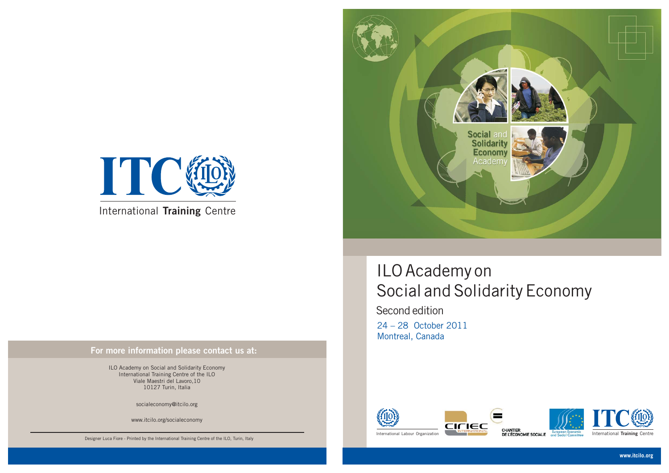



International **Training** Centre

#### **For more information please contact us at:**

Designer Luca Fiore - Printed by the International Training Centre of the ILO, Turin, Italy

ILO Academy on Social and Solidarity Economy International Training Centre of the ILO Viale Maestri del Lavoro,10 10127 Turin, Italia

socialeconomy@itcilo.org

www.itcilo.org/socialeconomy

**www.itcilo.org**

### ILO Academy on Social and Solidarity Economy

24 – 28 October 2011 Montreal, Canada Second edition







International **Training** Centre